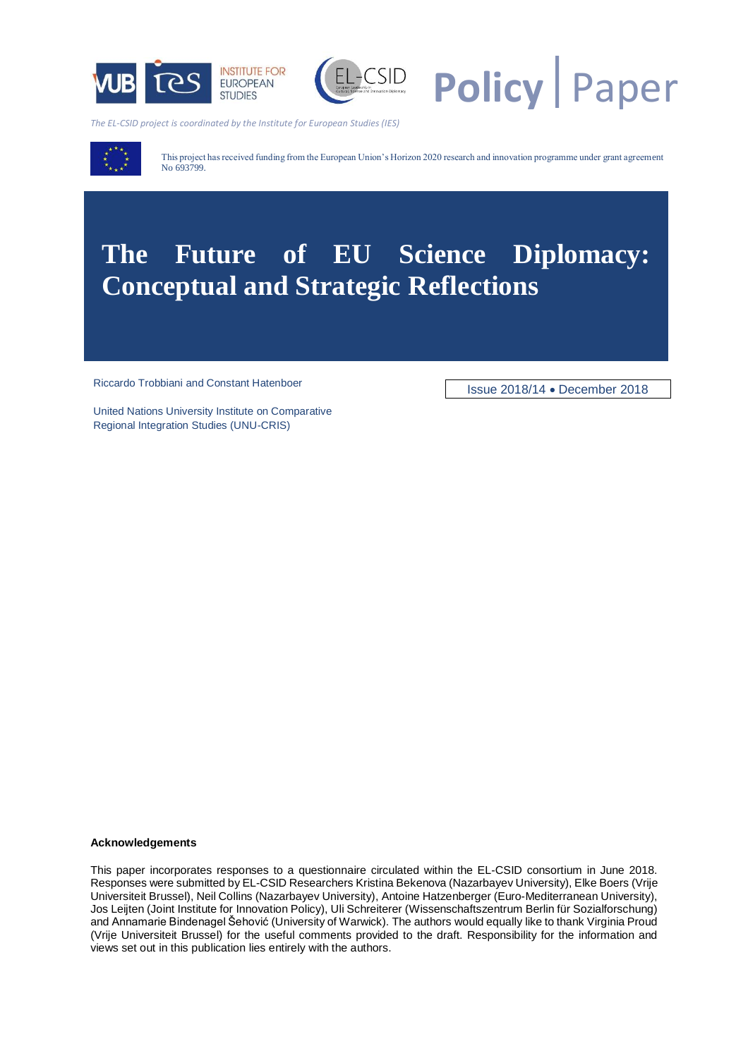



**Policy** Paper

*The EL-CSID project is coordinated by the Institute for European Studies (IES)*



This project has received funding from the European Union's Horizon 2020 research and innovation programme under grant agreement No 693799.

# **The Future of EU Science Diplomacy: Conceptual and Strategic Reflections**

Riccardo Trobbiani and Constant Hatenboer<br>
Issue 2018/14 • December 2018

United Nations University Institute on Comparative Regional Integration Studies (UNU-CRIS)

#### **Acknowledgements**

This paper incorporates responses to a questionnaire circulated within the EL-CSID consortium in June 2018. Responses were submitted by EL-CSID Researchers Kristina Bekenova (Nazarbayev University), Elke Boers (Vrije Universiteit Brussel), Neil Collins (Nazarbayev University), Antoine Hatzenberger (Euro-Mediterranean University), Jos Leijten (Joint Institute for Innovation Policy), Uli Schreiterer (Wissenschaftszentrum Berlin für Sozialforschung) and Annamarie Bindenagel Šehović (University of Warwick). The authors would equally like to thank Virginia Proud (Vrije Universiteit Brussel) for the useful comments provided to the draft. Responsibility for the information and views set out in this publication lies entirely with the authors.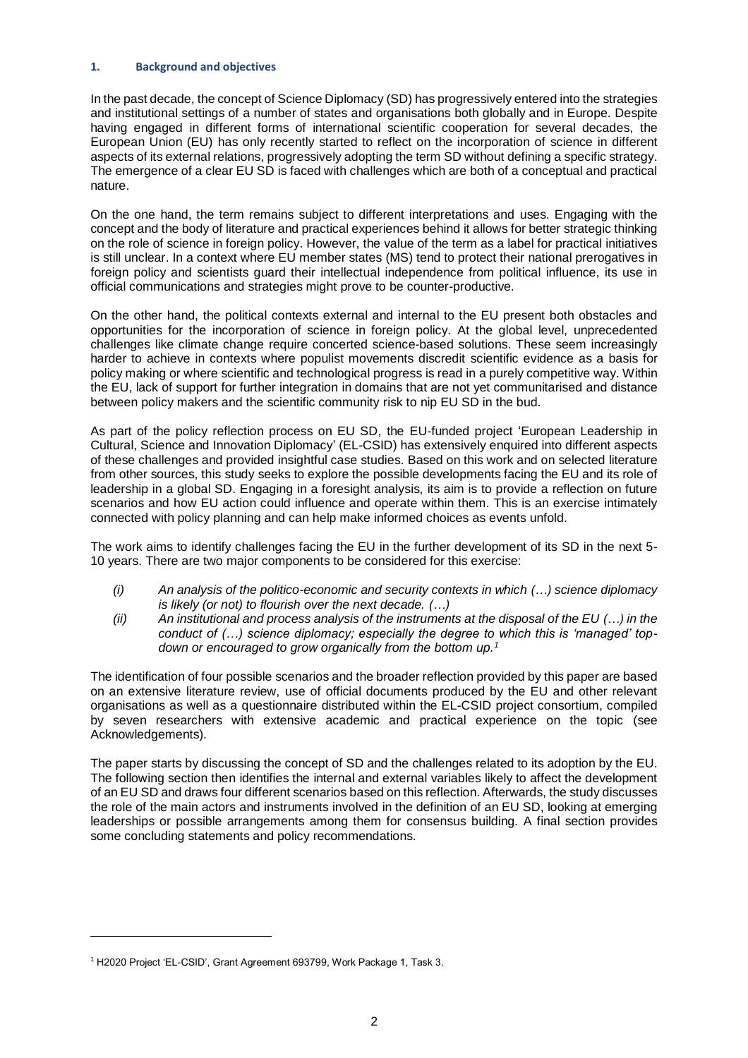## **1. Background and objectives**

In the past decade, the concept of Science Diplomacy (SD) has progressively entered into the strategies and institutional settings of a number of states and organisations both globally and in Europe. Despite having engaged in different forms of international scientific cooperation for several decades, the European Union (EU) has only recently started to reflect on the incorporation of science in different aspects of its external relations, progressively adopting the term SD without defining a specific strategy. The emergence of a clear EU SD is faced with challenges which are both of a conceptual and practical nature.

On the one hand, the term remains subject to different interpretations and uses. Engaging with the concept and the body of literature and practical experiences behind it allows for better strategic thinking on the role of science in foreign policy. However, the value of the term as a label for practical initiatives is still unclear. In a context where EU member states (MS) tend to protect their national prerogatives in foreign policy and scientists guard their intellectual independence from political influence, its use in official communications and strategies might prove to be counter-productive.

On the other hand, the political contexts external and internal to the EU present both obstacles and opportunities for the incorporation of science in foreign policy. At the global level, unprecedented challenges like climate change require concerted science-based solutions. These seem increasingly harder to achieve in contexts where populist movements discredit scientific evidence as a basis for policy making or where scientific and technological progress is read in a purely competitive way. Within the EU, lack of support for further integration in domains that are not yet communitarised and distance between policy makers and the scientific community risk to nip EU SD in the bud.

As part of the policy reflection process on EU SD, the EU-funded project 'European Leadership in Cultural, Science and Innovation Diplomacy' (EL-CSID) has extensively enquired into different aspects of these challenges and provided insightful case studies. Based on this work and on selected literature from other sources, this study seeks to explore the possible developments facing the EU and its role of leadership in a global SD. Engaging in a foresight analysis, its aim is to provide a reflection on future scenarios and how EU action could influence and operate within them. This is an exercise intimately connected with policy planning and can help make informed choices as events unfold.

The work aims to identify challenges facing the EU in the further development of its SD in the next 5- 10 years. There are two major components to be considered for this exercise:

- *(i) An analysis of the politico-economic and security contexts in which (…) science diplomacy is likely (or not) to flourish over the next decade. (…)*
- *(ii) An institutional and process analysis of the instruments at the disposal of the EU (…) in the conduct of (…) science diplomacy; especially the degree to which this is 'managed' topdown or encouraged to grow organically from the bottom up.<sup>1</sup>*

The identification of four possible scenarios and the broader reflection provided by this paper are based on an extensive literature review, use of official documents produced by the EU and other relevant organisations as well as a questionnaire distributed within the EL-CSID project consortium, compiled by seven researchers with extensive academic and practical experience on the topic (see Acknowledgements).

The paper starts by discussing the concept of SD and the challenges related to its adoption by the EU. The following section then identifies the internal and external variables likely to affect the development of an EU SD and draws four different scenarios based on this reflection. Afterwards, the studydiscusses the role of the main actors and instruments involved in the definition of an EU SD, looking at emerging leaderships or possible arrangements among them for consensus building. A final section provides some concluding statements and policy recommendations.

<sup>1</sup> H2020 Project 'EL-CSID', Grant Agreement 693799, Work Package 1, Task 3.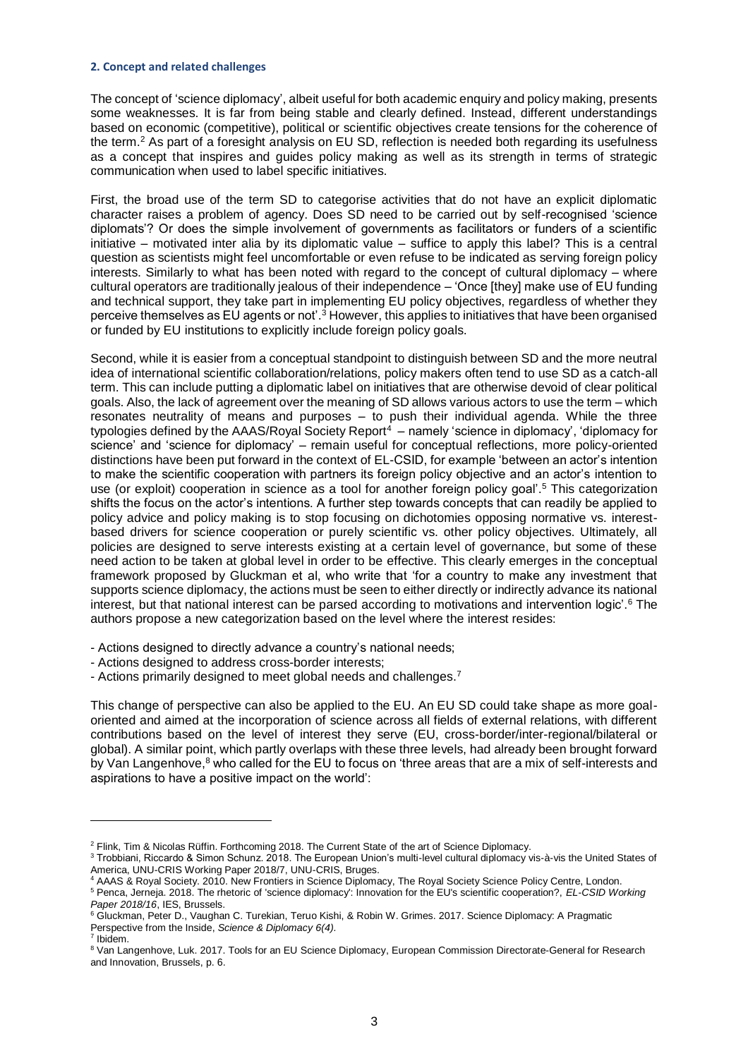#### **2. Concept and related challenges**

The concept of 'science diplomacy', albeit useful for both academic enquiry and policy making, presents some weaknesses. It is far from being stable and clearly defined. Instead, different understandings based on economic (competitive), political or scientific objectives create tensions for the coherence of the term. <sup>2</sup> As part of a foresight analysis on EU SD, reflection is needed both regarding its usefulness as a concept that inspires and guides policy making as well as its strength in terms of strategic communication when used to label specific initiatives.

First, the broad use of the term SD to categorise activities that do not have an explicit diplomatic character raises a problem of agency. Does SD need to be carried out by self-recognised 'science diplomats'? Or does the simple involvement of governments as facilitators or funders of a scientific initiative – motivated inter alia by its diplomatic value – suffice to apply this label? This is a central question as scientists might feel uncomfortable or even refuse to be indicated as serving foreign policy interests. Similarly to what has been noted with regard to the concept of cultural diplomacy – where cultural operators are traditionally jealous of their independence – 'Once [they] make use of EU funding and technical support, they take part in implementing EU policy objectives, regardless of whether they perceive themselves as EU agents or not'.<sup>3</sup> However, this applies to initiatives that have been organised or funded by EU institutions to explicitly include foreign policy goals.

Second, while it is easier from a conceptual standpoint to distinguish between SD and the more neutral idea of international scientific collaboration/relations, policy makers often tend to use SD as a catch-all term. This can include putting a diplomatic label on initiatives that are otherwise devoid of clear political goals. Also, the lack of agreement over the meaning of SD allows various actors to use the term – which resonates neutrality of means and purposes – to push their individual agenda. While the three typologies defined by the AAAS/Royal Society Report<sup>4</sup> – namely 'science in diplomacy', 'diplomacy for science' and 'science for diplomacy' – remain useful for conceptual reflections, more policy-oriented distinctions have been put forward in the context of EL-CSID, for example 'between an actor's intention to make the scientific cooperation with partners its foreign policy objective and an actor's intention to use (or exploit) cooperation in science as a tool for another foreign policy goal'.<sup>5</sup> This categorization shifts the focus on the actor's intentions. A further step towards concepts that can readily be applied to policy advice and policy making is to stop focusing on dichotomies opposing normative vs. interestbased drivers for science cooperation or purely scientific vs. other policy objectives. Ultimately, all policies are designed to serve interests existing at a certain level of governance, but some of these need action to be taken at global level in order to be effective. This clearly emerges in the conceptual framework proposed by Gluckman et al, who write that 'for a country to make any investment that supports science diplomacy, the actions must be seen to either directly or indirectly advance its national interest, but that national interest can be parsed according to motivations and intervention logic'.<sup>6</sup> The authors propose a new categorization based on the level where the interest resides:

- Actions designed to directly advance a country's national needs;
- Actions designed to address cross-border interests;
- Actions primarily designed to meet global needs and challenges.<sup>7</sup>

This change of perspective can also be applied to the EU. An EU SD could take shape as more goaloriented and aimed at the incorporation of science across all fields of external relations, with different contributions based on the level of interest they serve (EU, cross-border/inter-regional/bilateral or global). A similar point, which partly overlaps with these three levels, had already been brought forward by Van Langenhove,<sup>8</sup> who called for the EU to focus on 'three areas that are a mix of self-interests and aspirations to have a positive impact on the world':

7 Ibidem.

<sup>2</sup> Flink, Tim & Nicolas Rüffin. Forthcoming 2018. The Current State of the art of Science Diplomacy.

<sup>&</sup>lt;sup>3</sup> Trobbiani, Riccardo & Simon Schunz. 2018. The European Union's multi-level cultural diplomacy vis-à-vis the United States of America, UNU-CRIS Working Paper 2018/7, UNU-CRIS, Bruges.

<sup>4</sup> AAAS & Royal Society. 2010. New Frontiers in Science Diplomacy, The Royal Society Science Policy Centre, London. <sup>5</sup> Penca, Jerneja. 2018. The rhetoric of 'science diplomacy': Innovation for the EU's scientific cooperation?, *EL-CSID Working Paper 2018/16*, IES, Brussels.

<sup>6</sup> Gluckman, Peter D., Vaughan C. Turekian, Teruo Kishi, & Robin W. Grimes. 2017. Science Diplomacy: A Pragmatic Perspective from the Inside, *Science & Diplomacy 6(4).*

<sup>&</sup>lt;sup>8</sup> Van Langenhove, Luk. 2017. Tools for an EU Science Diplomacy, European Commission Directorate-General for Research and Innovation, Brussels, p. 6.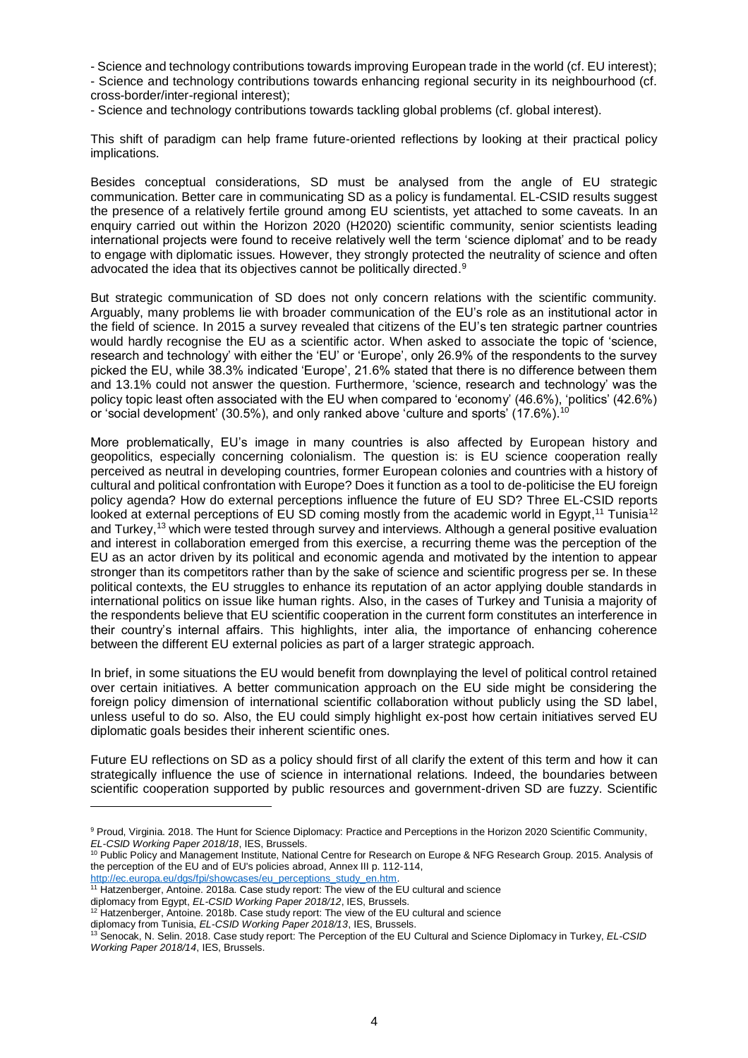- Science and technology contributions towards improving European trade in the world (cf. EU interest);

- Science and technology contributions towards enhancing regional security in its neighbourhood (cf. cross-border/inter-regional interest);

- Science and technology contributions towards tackling global problems (cf. global interest).

This shift of paradigm can help frame future-oriented reflections by looking at their practical policy implications.

Besides conceptual considerations, SD must be analysed from the angle of EU strategic communication. Better care in communicating SD as a policy is fundamental. EL-CSID results suggest the presence of a relatively fertile ground among EU scientists, yet attached to some caveats. In an enquiry carried out within the Horizon 2020 (H2020) scientific community, senior scientists leading international projects were found to receive relatively well the term 'science diplomat' and to be ready to engage with diplomatic issues. However, they strongly protected the neutrality of science and often advocated the idea that its objectives cannot be politically directed.<sup>9</sup>

But strategic communication of SD does not only concern relations with the scientific community. Arguably, many problems lie with broader communication of the EU's role as an institutional actor in the field of science. In 2015 a survey revealed that citizens of the EU's ten strategic partner countries would hardly recognise the EU as a scientific actor. When asked to associate the topic of 'science, research and technology' with either the 'EU' or 'Europe', only 26.9% of the respondents to the survey picked the EU, while 38.3% indicated 'Europe', 21.6% stated that there is no difference between them and 13.1% could not answer the question. Furthermore, 'science, research and technology' was the policy topic least often associated with the EU when compared to 'economy' (46.6%), 'politics' (42.6%) or 'social development' (30.5%), and only ranked above 'culture and sports' (17.6%).<sup>10</sup>

More problematically, EU's image in many countries is also affected by European history and geopolitics, especially concerning colonialism. The question is: is EU science cooperation really perceived as neutral in developing countries, former European colonies and countries with a history of cultural and political confrontation with Europe? Does it function as a tool to de-politicise the EU foreign policy agenda? How do external perceptions influence the future of EU SD? Three EL-CSID reports looked at external perceptions of EU SD coming mostly from the academic world in Egypt,<sup>11</sup> Tunisia<sup>12</sup> and Turkey,<sup>13</sup> which were tested through survey and interviews. Although a general positive evaluation and interest in collaboration emerged from this exercise, a recurring theme was the perception of the EU as an actor driven by its political and economic agenda and motivated by the intention to appear stronger than its competitors rather than by the sake of science and scientific progress per se. In these political contexts, the EU struggles to enhance its reputation of an actor applying double standards in international politics on issue like human rights. Also, in the cases of Turkey and Tunisia a majority of the respondents believe that EU scientific cooperation in the current form constitutes an interference in their country's internal affairs. This highlights, inter alia, the importance of enhancing coherence between the different EU external policies as part of a larger strategic approach.

In brief, in some situations the EU would benefit from downplaying the level of political control retained over certain initiatives. A better communication approach on the EU side might be considering the foreign policy dimension of international scientific collaboration without publicly using the SD label, unless useful to do so. Also, the EU could simply highlight ex-post how certain initiatives served EU diplomatic goals besides their inherent scientific ones.

Future EU reflections on SD as a policy should first of all clarify the extent of this term and how it can strategically influence the use of science in international relations. Indeed, the boundaries between scientific cooperation supported by public resources and government-driven SD are fuzzy. Scientific

[http://ec.europa.eu/dgs/fpi/showcases/eu\\_perceptions\\_study\\_en.htm.](http://ec.europa.eu/dgs/fpi/showcases/eu_perceptions_study_en.htm)

- <sup>11</sup> Hatzenberger, Antoine. 2018a. Case study report: The view of the EU cultural and science diplomacy from Egypt, *EL-CSID Working Paper 2018/12*, IES, Brussels.
- <sup>12</sup> Hatzenberger, Antoine. 2018b. Case study report: The view of the EU cultural and science

<sup>&</sup>lt;sup>9</sup> Proud, Virginia. 2018. The Hunt for Science Diplomacy: Practice and Perceptions in the Horizon 2020 Scientific Community, *EL-CSID Working Paper 2018/18*, IES, Brussels.

<sup>&</sup>lt;sup>10</sup> Public Policy and Management Institute, National Centre for Research on Europe & NFG Research Group. 2015. Analysis of the perception of the EU and of EU's policies abroad, Annex III p. 112-114,

diplomacy from Tunisia, *EL-CSID Working Paper 2018/13*, IES, Brussels.

<sup>13</sup> Senocak, N. Selin. 2018. Case study report: The Perception of the EU Cultural and Science Diplomacy in Turkey, *EL-CSID Working Paper 2018/14*, IES, Brussels.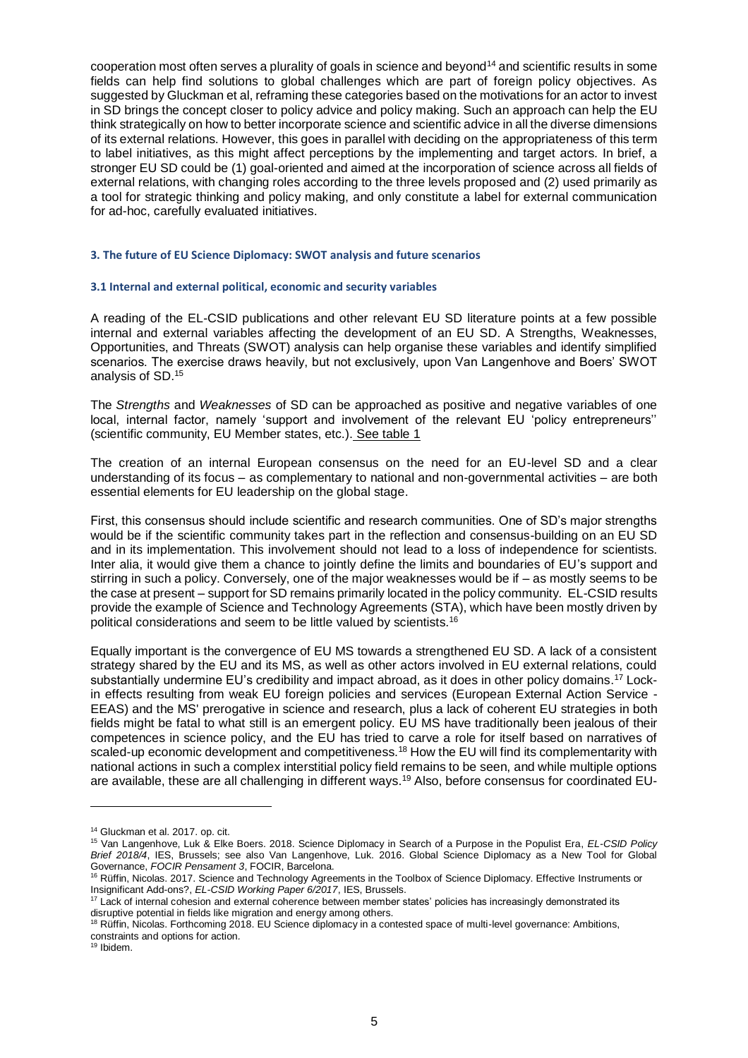cooperation most often serves a plurality of goals in science and beyond<sup>14</sup> and scientific results in some fields can help find solutions to global challenges which are part of foreign policy objectives. As suggested by Gluckman et al, reframing these categories based on the motivations for an actor to invest in SD brings the concept closer to policy advice and policy making. Such an approach can help the EU think strategically on how to better incorporate science and scientific advice in all the diverse dimensions of its external relations. However, this goes in parallel with deciding on the appropriateness of this term to label initiatives, as this might affect perceptions by the implementing and target actors. In brief, a stronger EU SD could be (1) goal-oriented and aimed at the incorporation of science across all fields of external relations, with changing roles according to the three levels proposed and (2) used primarily as a tool for strategic thinking and policy making, and only constitute a label for external communication for ad-hoc, carefully evaluated initiatives.

### **3. The future of EU Science Diplomacy: SWOT analysis and future scenarios**

### **3.1 Internal and external political, economic and security variables**

A reading of the EL-CSID publications and other relevant EU SD literature points at a few possible internal and external variables affecting the development of an EU SD. A Strengths, Weaknesses, Opportunities, and Threats (SWOT) analysis can help organise these variables and identify simplified scenarios. The exercise draws heavily, but not exclusively, upon Van Langenhove and Boers' SWOT analysis of SD. 15

The *Strengths* and *Weaknesses* of SD can be approached as positive and negative variables of one local, internal factor, namely 'support and involvement of the relevant EU 'policy entrepreneurs'' (scientific community, EU Member states, etc.). See table 1

The creation of an internal European consensus on the need for an EU-level SD and a clear understanding of its focus – as complementary to national and non-governmental activities – are both essential elements for EU leadership on the global stage.

First, this consensus should include scientific and research communities. One of SD's major strengths would be if the scientific community takes part in the reflection and consensus-building on an EU SD and in its implementation. This involvement should not lead to a loss of independence for scientists. Inter alia, it would give them a chance to jointly define the limits and boundaries of EU's support and stirring in such a policy. Conversely, one of the major weaknesses would be if – as mostly seems to be the case at present – support for SD remains primarily located in the policy community. EL-CSID results provide the example of Science and Technology Agreements (STA), which have been mostly driven by political considerations and seem to be little valued by scientists. 16

Equally important is the convergence of EU MS towards a strengthened EU SD. A lack of a consistent strategy shared by the EU and its MS, as well as other actors involved in EU external relations, could substantially undermine EU's credibility and impact abroad, as it does in other policy domains.<sup>17</sup> Lockin effects resulting from weak EU foreign policies and services (European External Action Service - EEAS) and the MS' prerogative in science and research, plus a lack of coherent EU strategies in both fields might be fatal to what still is an emergent policy. EU MS have traditionally been jealous of their competences in science policy, and the EU has tried to carve a role for itself based on narratives of scaled-up economic development and competitiveness.<sup>18</sup> How the EU will find its complementarity with national actions in such a complex interstitial policy field remains to be seen, and while multiple options are available, these are all challenging in different ways.<sup>19</sup> Also, before consensus for coordinated EU-

<sup>14</sup> Gluckman et al. 2017. op. cit.

<sup>15</sup> Van Langenhove, Luk & Elke Boers. 2018. Science Diplomacy in Search of a Purpose in the Populist Era, *EL-CSID Policy Brief 2018/4*, IES, Brussels; see also Van Langenhove, Luk. 2016. Global Science Diplomacy as a New Tool for Global Governance, *FOCIR Pensament 3*, FOCIR, Barcelona.

<sup>&</sup>lt;sup>16</sup> Rüffin, Nicolas. 2017. Science and Technology Agreements in the Toolbox of Science Diplomacy. Effective Instruments or Insignificant Add-ons?, *EL-CSID Working Paper 6/2017*, IES, Brussels.

<sup>&</sup>lt;sup>17</sup> Lack of internal cohesion and external coherence between member states' policies has increasingly demonstrated its disruptive potential in fields like migration and energy among others.

<sup>&</sup>lt;sup>18</sup> Rüffin, Nicolas. Forthcoming 2018. EU Science diplomacy in a contested space of multi-level governance: Ambitions, constraints and options for action*.*

<sup>19</sup> Ibidem.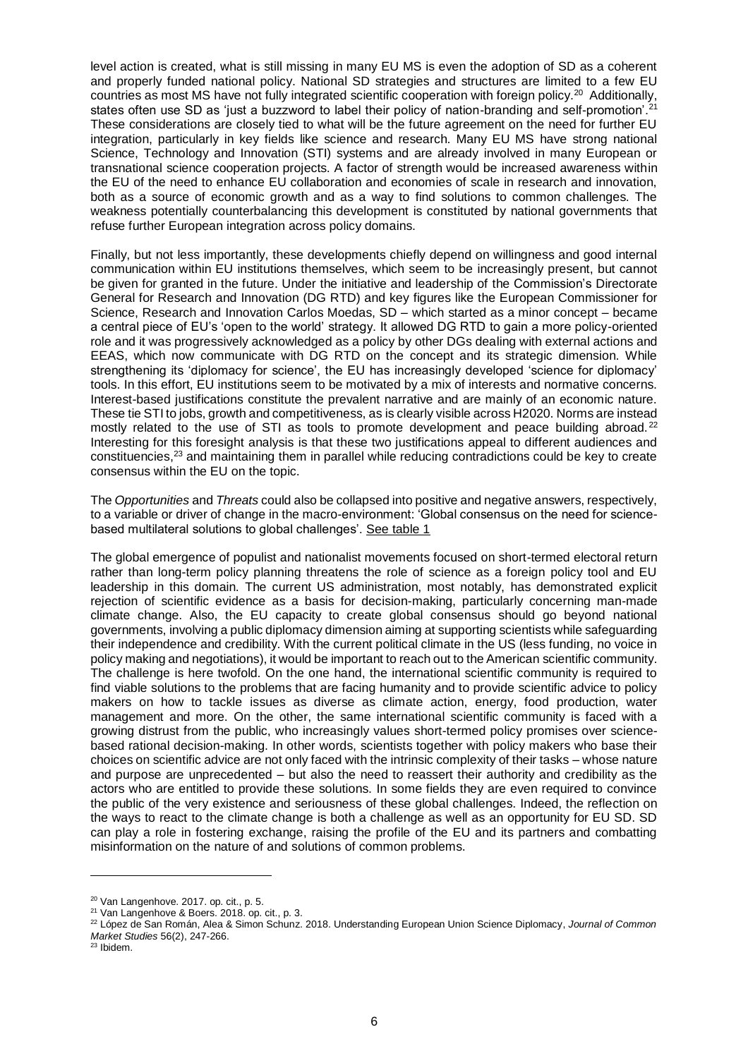level action is created, what is still missing in many EU MS is even the adoption of SD as a coherent and properly funded national policy. National SD strategies and structures are limited to a few EU countries as most MS have not fully integrated scientific cooperation with foreign policy.<sup>20</sup> Additionally, states often use SD as 'just a buzzword to label their policy of nation-branding and self-promotion'.<sup>21</sup> These considerations are closely tied to what will be the future agreement on the need for further EU integration, particularly in key fields like science and research. Many EU MS have strong national Science, Technology and Innovation (STI) systems and are already involved in many European or transnational science cooperation projects. A factor of strength would be increased awareness within the EU of the need to enhance EU collaboration and economies of scale in research and innovation, both as a source of economic growth and as a way to find solutions to common challenges. The weakness potentially counterbalancing this development is constituted by national governments that refuse further European integration across policy domains.

Finally, but not less importantly, these developments chiefly depend on willingness and good internal communication within EU institutions themselves, which seem to be increasingly present, but cannot be given for granted in the future. Under the initiative and leadership of the Commission's Directorate General for Research and Innovation (DG RTD) and key figures like the European Commissioner for Science, Research and Innovation Carlos Moedas, SD – which started as a minor concept – became a central piece of EU's 'open to the world' strategy. It allowed DG RTD to gain a more policy-oriented role and it was progressively acknowledged as a policy by other DGs dealing with external actions and EEAS, which now communicate with DG RTD on the concept and its strategic dimension. While strengthening its 'diplomacy for science', the EU has increasingly developed 'science for diplomacy' tools. In this effort, EU institutions seem to be motivated by a mix of interests and normative concerns. Interest-based justifications constitute the prevalent narrative and are mainly of an economic nature. These tie STI to jobs, growth and competitiveness, as is clearly visible across H2020. Norms are instead mostly related to the use of STI as tools to promote development and peace building abroad.<sup>22</sup> Interesting for this foresight analysis is that these two justifications appeal to different audiences and constituencies,<sup>23</sup> and maintaining them in parallel while reducing contradictions could be key to create consensus within the EU on the topic.

The *Opportunities* and *Threats* could also be collapsed into positive and negative answers, respectively, to a variable or driver of change in the macro-environment: 'Global consensus on the need for sciencebased multilateral solutions to global challenges'. See table 1

The global emergence of populist and nationalist movements focused on short-termed electoral return rather than long-term policy planning threatens the role of science as a foreign policy tool and EU leadership in this domain. The current US administration, most notably, has demonstrated explicit rejection of scientific evidence as a basis for decision-making, particularly concerning man-made climate change. Also, the EU capacity to create global consensus should go beyond national governments, involving a public diplomacy dimension aiming at supporting scientists while safeguarding their independence and credibility. With the current political climate in the US (less funding, no voice in policy making and negotiations), it would be important to reach out to the American scientific community. The challenge is here twofold. On the one hand, the international scientific community is required to find viable solutions to the problems that are facing humanity and to provide scientific advice to policy makers on how to tackle issues as diverse as climate action, energy, food production, water management and more. On the other, the same international scientific community is faced with a growing distrust from the public, who increasingly values short-termed policy promises over sciencebased rational decision-making. In other words, scientists together with policy makers who base their choices on scientific advice are not only faced with the intrinsic complexity of their tasks – whose nature and purpose are unprecedented – but also the need to reassert their authority and credibility as the actors who are entitled to provide these solutions. In some fields they are even required to convince the public of the very existence and seriousness of these global challenges. Indeed, the reflection on the ways to react to the climate change is both a challenge as well as an opportunity for EU SD. SD can play a role in fostering exchange, raising the profile of the EU and its partners and combatting misinformation on the nature of and solutions of common problems.

<sup>20</sup> Van Langenhove. 2017. op. cit., p. 5.

<sup>21</sup> Van Langenhove & Boers. 2018. op. cit., p. 3.

<sup>22</sup> López de San Román, Alea & Simon Schunz. 2018. Understanding European Union Science Diplomacy, *Journal of Common Market Studies* 56(2), 247-266.

<sup>23</sup> Ibidem.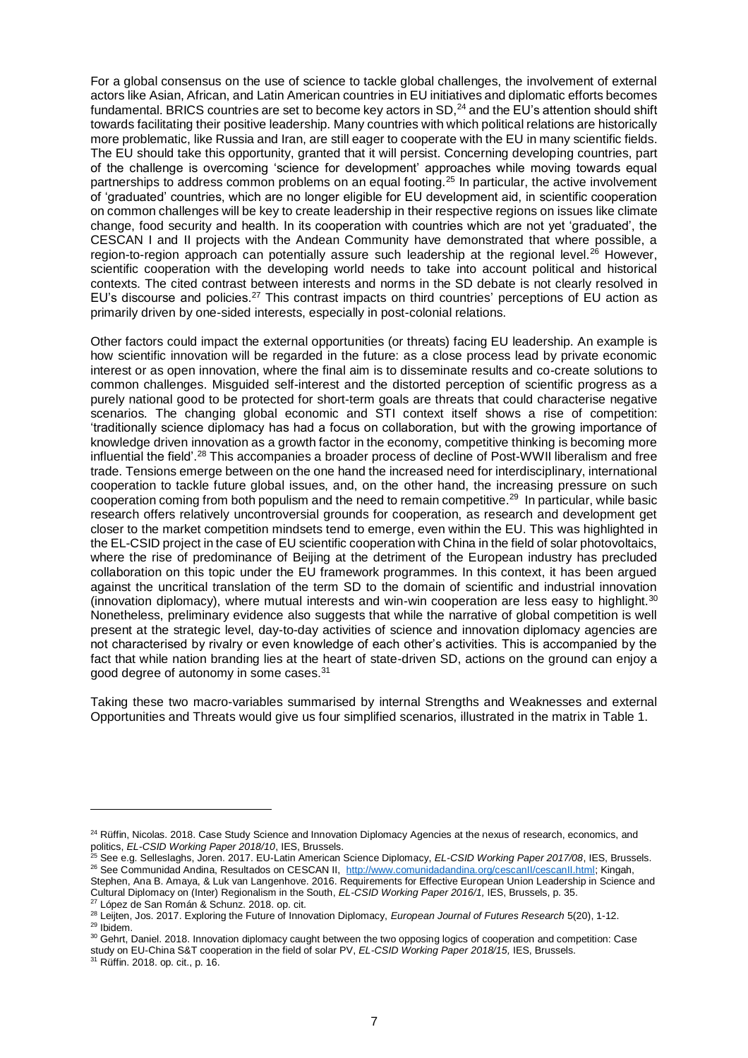For a global consensus on the use of science to tackle global challenges, the involvement of external actors like Asian, African, and Latin American countries in EU initiatives and diplomatic efforts becomes fundamental. BRICS countries are set to become key actors in SD,<sup>24</sup> and the EU's attention should shift towards facilitating their positive leadership. Many countries with which political relations are historically more problematic, like Russia and Iran, are still eager to cooperate with the EU in many scientific fields. The EU should take this opportunity, granted that it will persist. Concerning developing countries, part of the challenge is overcoming 'science for development' approaches while moving towards equal partnerships to address common problems on an equal footing.<sup>25</sup> In particular, the active involvement of 'graduated' countries, which are no longer eligible for EU development aid, in scientific cooperation on common challenges will be key to create leadership in their respective regions on issues like climate change, food security and health. In its cooperation with countries which are not yet 'graduated', the CESCAN I and II projects with the Andean Community have demonstrated that where possible, a region-to-region approach can potentially assure such leadership at the regional level.<sup>26</sup> However, scientific cooperation with the developing world needs to take into account political and historical contexts. The cited contrast between interests and norms in the SD debate is not clearly resolved in EU's discourse and policies.<sup>27</sup> This contrast impacts on third countries' perceptions of EU action as primarily driven by one-sided interests, especially in post-colonial relations.

Other factors could impact the external opportunities (or threats) facing EU leadership. An example is how scientific innovation will be regarded in the future: as a close process lead by private economic interest or as open innovation, where the final aim is to disseminate results and co-create solutions to common challenges. Misguided self-interest and the distorted perception of scientific progress as a purely national good to be protected for short-term goals are threats that could characterise negative scenarios. The changing global economic and STI context itself shows a rise of competition: 'traditionally science diplomacy has had a focus on collaboration, but with the growing importance of knowledge driven innovation as a growth factor in the economy, competitive thinking is becoming more influential the field'.<sup>28</sup> This accompanies a broader process of decline of Post-WWII liberalism and free trade. Tensions emerge between on the one hand the increased need for interdisciplinary, international cooperation to tackle future global issues, and, on the other hand, the increasing pressure on such cooperation coming from both populism and the need to remain competitive.<sup>29</sup> In particular, while basic research offers relatively uncontroversial grounds for cooperation, as research and development get closer to the market competition mindsets tend to emerge, even within the EU. This was highlighted in the EL-CSID project in the case of EU scientific cooperation with China in the field of solar photovoltaics, where the rise of predominance of Beijing at the detriment of the European industry has precluded collaboration on this topic under the EU framework programmes. In this context, it has been argued against the uncritical translation of the term SD to the domain of scientific and industrial innovation (innovation diplomacy), where mutual interests and win-win cooperation are less easy to highlight. 30 Nonetheless, preliminary evidence also suggests that while the narrative of global competition is well present at the strategic level, day-to-day activities of science and innovation diplomacy agencies are not characterised by rivalry or even knowledge of each other's activities. This is accompanied by the fact that while nation branding lies at the heart of state-driven SD, actions on the ground can enjoy a good degree of autonomy in some cases.<sup>31</sup>

Taking these two macro-variables summarised by internal Strengths and Weaknesses and external Opportunities and Threats would give us four simplified scenarios, illustrated in the matrix in Table 1.

<sup>&</sup>lt;sup>24</sup> Rüffin, Nicolas. 2018. Case Study Science and Innovation Diplomacy Agencies at the nexus of research, economics, and politics, *EL-CSID Working Paper 2018/10*, IES, Brussels.

<sup>25</sup> See e.g. Selleslaghs, Joren. 2017. EU-Latin American Science Diplomacy, *EL-CSID Working Paper 2017/08*, IES, Brussels. <sup>26</sup> See Communidad Andina, Resultados on CESCAN II, [http://www.comunidadandina.org/cescanII/cescanII.html;](http://www.comunidadandina.org/cescanII/cescanII.html) Kingah, Stephen, Ana B. Amaya, & Luk van Langenhove. 2016. Requirements for Effective European Union Leadership in Science and Cultural Diplomacy on (Inter) Regionalism in the South, *EL-CSID Working Paper 2016/1,* IES, Brussels, p. 35.

<sup>27</sup> López de San Román & Schunz. 2018. op. cit.

<sup>28</sup> Leijten, Jos. 2017. Exploring the Future of Innovation Diplomacy, *European Journal of Futures Research* 5(20), 1-12. <sup>29</sup> Ibidem.

<sup>&</sup>lt;sup>30</sup> Gehrt, Daniel, 2018. Innovation diplomacy caught between the two opposing logics of cooperation and competition: Case study on EU-China S&T cooperation in the field of solar PV, *EL-CSID Working Paper 2018/15,* IES, Brussels.

<sup>31</sup> Rüffin. 2018. op. cit., p. 16.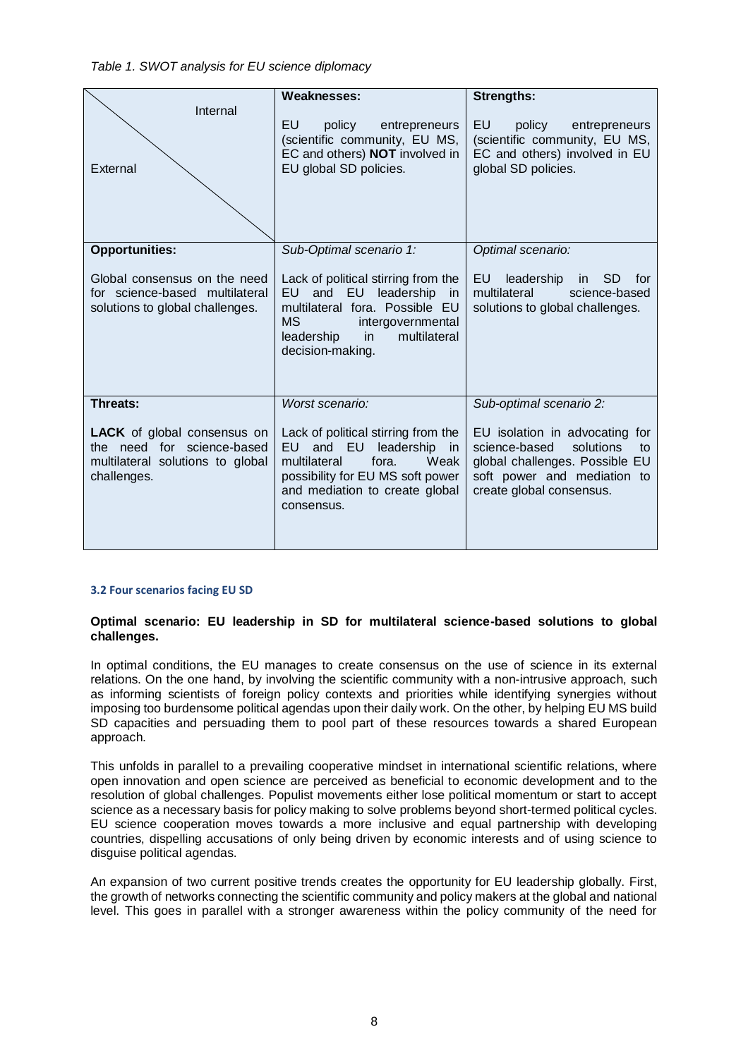# *Table 1. SWOT analysis for EU science diplomacy*

|                                                                                                                     | Weaknesses:                                                                                                                                                                                    | <b>Strengths:</b>                                                                                                                                               |
|---------------------------------------------------------------------------------------------------------------------|------------------------------------------------------------------------------------------------------------------------------------------------------------------------------------------------|-----------------------------------------------------------------------------------------------------------------------------------------------------------------|
| Internal<br>External                                                                                                | EU<br>policy<br>entrepreneurs<br>(scientific community, EU MS,<br>EC and others) NOT involved in<br>EU global SD policies.                                                                     | EU<br>policy<br>entrepreneurs<br>(scientific community, EU MS,<br>EC and others) involved in EU<br>global SD policies.                                          |
| <b>Opportunities:</b>                                                                                               | Sub-Optimal scenario 1:                                                                                                                                                                        | Optimal scenario:                                                                                                                                               |
| Global consensus on the need<br>for science-based multilateral<br>solutions to global challenges.                   | Lack of political stirring from the<br>EU and EU leadership<br>in<br>multilateral fora. Possible EU<br><b>MS</b><br>intergovernmental<br>multilateral<br>leadership<br>in.<br>decision-making. | EU leadership in SD for<br>multilateral<br>science-based<br>solutions to global challenges.                                                                     |
| Threats:                                                                                                            | Worst scenario:                                                                                                                                                                                | Sub-optimal scenario 2:                                                                                                                                         |
| <b>LACK</b> of global consensus on<br>the need for science-based<br>multilateral solutions to global<br>challenges. | Lack of political stirring from the<br>and EU leadership<br>EU -<br>in<br>multilateral<br>fora.<br>Weak<br>possibility for EU MS soft power<br>and mediation to create global<br>consensus.    | EU isolation in advocating for<br>science-based<br>solutions<br>to<br>global challenges. Possible EU<br>soft power and mediation to<br>create global consensus. |

## **3.2 Four scenarios facing EU SD**

# **Optimal scenario: EU leadership in SD for multilateral science-based solutions to global challenges.**

In optimal conditions, the EU manages to create consensus on the use of science in its external relations. On the one hand, by involving the scientific community with a non-intrusive approach, such as informing scientists of foreign policy contexts and priorities while identifying synergies without imposing too burdensome political agendas upon their daily work. On the other, by helping EU MS build SD capacities and persuading them to pool part of these resources towards a shared European approach.

This unfolds in parallel to a prevailing cooperative mindset in international scientific relations, where open innovation and open science are perceived as beneficial to economic development and to the resolution of global challenges. Populist movements either lose political momentum or start to accept science as a necessary basis for policy making to solve problems beyond short-termed political cycles. EU science cooperation moves towards a more inclusive and equal partnership with developing countries, dispelling accusations of only being driven by economic interests and of using science to disguise political agendas.

An expansion of two current positive trends creates the opportunity for EU leadership globally. First, the growth of networks connecting the scientific community and policy makers at the global and national level. This goes in parallel with a stronger awareness within the policy community of the need for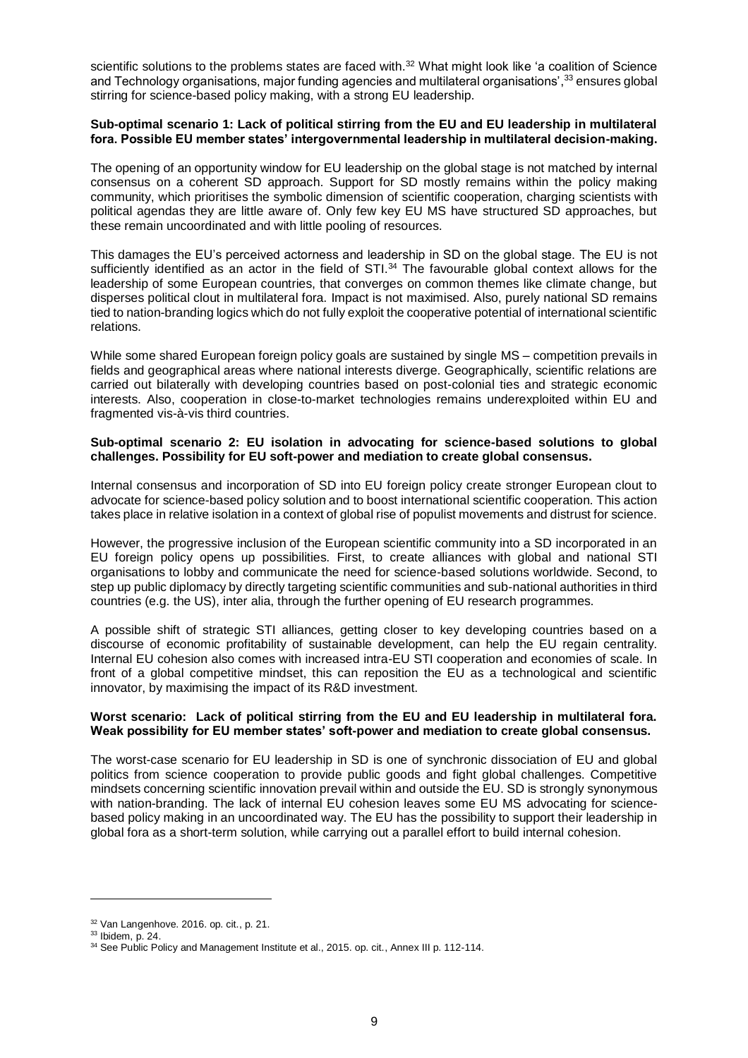scientific solutions to the problems states are faced with.<sup>32</sup> What might look like 'a coalition of Science and Technology organisations, major funding agencies and multilateral organisations', $^{33}$ ensures global stirring for science-based policy making, with a strong EU leadership.

# **Sub-optimal scenario 1: Lack of political stirring from the EU and EU leadership in multilateral fora. Possible EU member states' intergovernmental leadership in multilateral decision-making.**

The opening of an opportunity window for EU leadership on the global stage is not matched by internal consensus on a coherent SD approach. Support for SD mostly remains within the policy making community, which prioritises the symbolic dimension of scientific cooperation, charging scientists with political agendas they are little aware of. Only few key EU MS have structured SD approaches, but these remain uncoordinated and with little pooling of resources.

This damages the EU's perceived actorness and leadership in SD on the global stage. The EU is not sufficiently identified as an actor in the field of STI.<sup>34</sup> The favourable global context allows for the leadership of some European countries, that converges on common themes like climate change, but disperses political clout in multilateral fora. Impact is not maximised. Also, purely national SD remains tied to nation-branding logics which do not fully exploit the cooperative potential of international scientific relations.

While some shared European foreign policy goals are sustained by single MS – competition prevails in fields and geographical areas where national interests diverge. Geographically, scientific relations are carried out bilaterally with developing countries based on post-colonial ties and strategic economic interests. Also, cooperation in close-to-market technologies remains underexploited within EU and fragmented vis-à-vis third countries.

## **Sub-optimal scenario 2: EU isolation in advocating for science-based solutions to global challenges. Possibility for EU soft-power and mediation to create global consensus.**

Internal consensus and incorporation of SD into EU foreign policy create stronger European clout to advocate for science-based policy solution and to boost international scientific cooperation. This action takes place in relative isolation in a context of global rise of populist movements and distrust for science.

However, the progressive inclusion of the European scientific community into a SD incorporated in an EU foreign policy opens up possibilities. First, to create alliances with global and national STI organisations to lobby and communicate the need for science-based solutions worldwide. Second, to step up public diplomacy by directly targeting scientific communities and sub-national authorities in third countries (e.g. the US), inter alia, through the further opening of EU research programmes.

A possible shift of strategic STI alliances, getting closer to key developing countries based on a discourse of economic profitability of sustainable development, can help the EU regain centrality. Internal EU cohesion also comes with increased intra-EU STI cooperation and economies of scale. In front of a global competitive mindset, this can reposition the EU as a technological and scientific innovator, by maximising the impact of its R&D investment.

# **Worst scenario: Lack of political stirring from the EU and EU leadership in multilateral fora. Weak possibility for EU member states' soft-power and mediation to create global consensus.**

The worst-case scenario for EU leadership in SD is one of synchronic dissociation of EU and global politics from science cooperation to provide public goods and fight global challenges. Competitive mindsets concerning scientific innovation prevail within and outside the EU. SD is strongly synonymous with nation-branding. The lack of internal EU cohesion leaves some EU MS advocating for sciencebased policy making in an uncoordinated way. The EU has the possibility to support their leadership in global fora as a short-term solution, while carrying out a parallel effort to build internal cohesion.

<sup>32</sup> Van Langenhove. 2016. op. cit., p. 21.

 $33$  Ibidem, p. 24.

<sup>&</sup>lt;sup>34</sup> See Public Policy and Management Institute et al., 2015. op. cit., Annex III p. 112-114.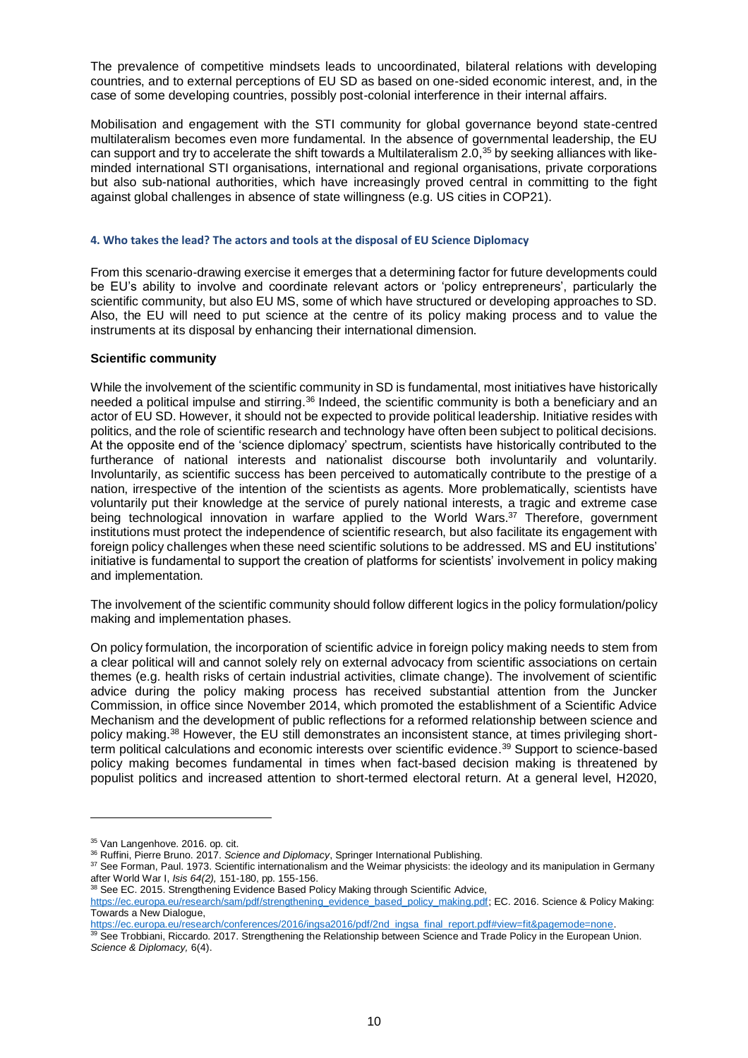The prevalence of competitive mindsets leads to uncoordinated, bilateral relations with developing countries, and to external perceptions of EU SD as based on one-sided economic interest, and, in the case of some developing countries, possibly post-colonial interference in their internal affairs.

Mobilisation and engagement with the STI community for global governance beyond state-centred multilateralism becomes even more fundamental. In the absence of governmental leadership, the EU can support and try to accelerate the shift towards a Multilateralism 2.0,<sup>35</sup> by seeking alliances with likeminded international STI organisations, international and regional organisations, private corporations but also sub-national authorities, which have increasingly proved central in committing to the fight against global challenges in absence of state willingness (e.g. US cities in COP21).

## **4. Who takes the lead? The actors and tools at the disposal of EU Science Diplomacy**

From this scenario-drawing exercise it emerges that a determining factor for future developments could be EU's ability to involve and coordinate relevant actors or 'policy entrepreneurs', particularly the scientific community, but also EU MS, some of which have structured or developing approaches to SD. Also, the EU will need to put science at the centre of its policy making process and to value the instruments at its disposal by enhancing their international dimension.

## **Scientific community**

While the involvement of the scientific community in SD is fundamental, most initiatives have historically needed a political impulse and stirring.<sup>36</sup> Indeed, the scientific community is both a beneficiary and an actor of EU SD. However, it should not be expected to provide political leadership. Initiative resides with politics, and the role of scientific research and technology have often been subject to political decisions. At the opposite end of the 'science diplomacy' spectrum, scientists have historically contributed to the furtherance of national interests and nationalist discourse both involuntarily and voluntarily. Involuntarily, as scientific success has been perceived to automatically contribute to the prestige of a nation, irrespective of the intention of the scientists as agents. More problematically, scientists have voluntarily put their knowledge at the service of purely national interests, a tragic and extreme case being technological innovation in warfare applied to the World Wars.<sup>37</sup> Therefore, government institutions must protect the independence of scientific research, but also facilitate its engagement with foreign policy challenges when these need scientific solutions to be addressed. MS and EU institutions' initiative is fundamental to support the creation of platforms for scientists' involvement in policy making and implementation.

The involvement of the scientific community should follow different logics in the policy formulation/policy making and implementation phases.

On policy formulation, the incorporation of scientific advice in foreign policy making needs to stem from a clear political will and cannot solely rely on external advocacy from scientific associations on certain themes (e.g. health risks of certain industrial activities, climate change). The involvement of scientific advice during the policy making process has received substantial attention from the Juncker Commission, in office since November 2014, which promoted the establishment of a Scientific Advice Mechanism and the development of public reflections for a reformed relationship between science and policy making.<sup>38</sup> However, the EU still demonstrates an inconsistent stance, at times privileging shortterm political calculations and economic interests over scientific evidence. <sup>39</sup> Support to science-based policy making becomes fundamental in times when fact-based decision making is threatened by populist politics and increased attention to short-termed electoral return. At a general level, H2020,

<sup>&</sup>lt;sup>35</sup> Van Langenhove. 2016. op. cit.

<sup>36</sup> Ruffini, Pierre Bruno. 2017. *Science and Diplomacy*, Springer International Publishing.

<sup>37</sup> See Forman, Paul. 1973. Scientific internationalism and the Weimar physicists: the ideology and its manipulation in Germany after World War I, *Isis 64(2),* 151-180, pp. 155-156.

 $38$  See EC. 2015. Strengthening Evidence Based Policy Making through Scientific Advice,

[https://ec.europa.eu/research/sam/pdf/strengthening\\_evidence\\_based\\_policy\\_making.pdf;](https://ec.europa.eu/research/sam/pdf/strengthening_evidence_based_policy_making.pdf) EC. 2016. Science & Policy Making: Towards a New Dialogue,

[https://ec.europa.eu/research/conferences/2016/ingsa2016/pdf/2nd\\_ingsa\\_final\\_report.pdf#view=fit&pagemode=none.](https://ec.europa.eu/research/conferences/2016/ingsa2016/pdf/2nd_ingsa_final_report.pdf#view=fit&pagemode=none)

<sup>&</sup>lt;sup>39</sup> See Trobbiani, Riccardo. 2017. Strengthening the Relationship between Science and Trade Policy in the European Union. *Science & Diplomacy,* 6(4).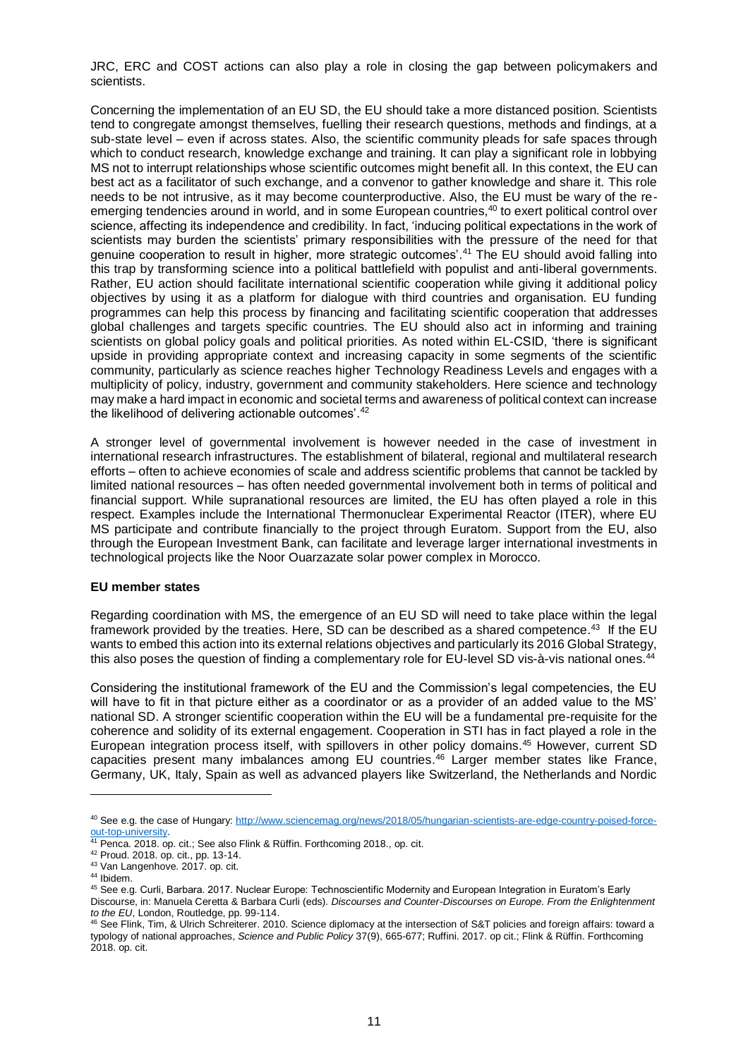JRC, ERC and COST actions can also play a role in closing the gap between policymakers and scientists.

Concerning the implementation of an EU SD, the EU should take a more distanced position. Scientists tend to congregate amongst themselves, fuelling their research questions, methods and findings, at a sub-state level – even if across states. Also, the scientific community pleads for safe spaces through which to conduct research, knowledge exchange and training. It can play a significant role in lobbying MS not to interrupt relationships whose scientific outcomes might benefit all. In this context, the EU can best act as a facilitator of such exchange, and a convenor to gather knowledge and share it. This role needs to be not intrusive, as it may become counterproductive. Also, the EU must be wary of the reemerging tendencies around in world, and in some European countries, <sup>40</sup> to exert political control over science, affecting its independence and credibility. In fact, 'inducing political expectations in the work of scientists may burden the scientists' primary responsibilities with the pressure of the need for that genuine cooperation to result in higher, more strategic outcomes'. <sup>41</sup> The EU should avoid falling into this trap by transforming science into a political battlefield with populist and anti-liberal governments. Rather, EU action should facilitate international scientific cooperation while giving it additional policy objectives by using it as a platform for dialogue with third countries and organisation. EU funding programmes can help this process by financing and facilitating scientific cooperation that addresses global challenges and targets specific countries. The EU should also act in informing and training scientists on global policy goals and political priorities. As noted within EL-CSID, 'there is significant upside in providing appropriate context and increasing capacity in some segments of the scientific community, particularly as science reaches higher Technology Readiness Levels and engages with a multiplicity of policy, industry, government and community stakeholders. Here science and technology may make a hard impact in economic and societal terms and awareness of political context can increase the likelihood of delivering actionable outcomes'.<sup>42</sup>

A stronger level of governmental involvement is however needed in the case of investment in international research infrastructures. The establishment of bilateral, regional and multilateral research efforts – often to achieve economies of scale and address scientific problems that cannot be tackled by limited national resources – has often needed governmental involvement both in terms of political and financial support. While supranational resources are limited, the EU has often played a role in this respect. Examples include the International Thermonuclear Experimental Reactor (ITER), where EU MS participate and contribute financially to the project through Euratom. Support from the EU, also through the European Investment Bank, can facilitate and leverage larger international investments in technological projects like the Noor Ouarzazate solar power complex in Morocco.

## **EU member states**

Regarding coordination with MS, the emergence of an EU SD will need to take place within the legal framework provided by the treaties. Here, SD can be described as a shared competence.<sup>43</sup> If the EU wants to embed this action into its external relations objectives and particularly its 2016 Global Strategy,<br>this also poses the question of finding a complementary role for ELLlevel SD vis-à-vis pational ones <sup>44</sup> this also poses the question of finding a complementary role for EU-level SD vis-à-vis national ones.

Considering the institutional framework of the EU and the Commission's legal competencies, the EU will have to fit in that picture either as a coordinator or as a provider of an added value to the MS' national SD. A stronger scientific cooperation within the EU will be a fundamental pre-requisite for the coherence and solidity of its external engagement. Cooperation in STI has in fact played a role in the European integration process itself, with spillovers in other policy domains. <sup>45</sup> However, current SD capacities present many imbalances among EU countries. <sup>46</sup> Larger member states like France, Germany, UK, Italy, Spain as well as advanced players like Switzerland, the Netherlands and Nordic

<sup>40</sup> See e.g. the case of Hungary: [http://www.sciencemag.org/news/2018/05/hungarian-scientists-are-edge-country-poised-force](http://www.sciencemag.org/news/2018/05/hungarian-scientists-are-edge-country-poised-force-out-top-university)[out-top-university.](http://www.sciencemag.org/news/2018/05/hungarian-scientists-are-edge-country-poised-force-out-top-university)

<sup>&</sup>lt;sup>41</sup> Penca. 2018. op. cit.; See also Flink & Rüffin. Forthcoming 2018., op. cit.

<sup>42</sup> Proud. 2018. op. cit., pp. 13-14.

<sup>43</sup> Van Langenhove. 2017. op. cit.

<sup>44</sup> Ibidem.

<sup>45</sup> See e.g. Curli, Barbara. 2017. Nuclear Europe: Technoscientific Modernity and European Integration in Euratom's Early Discourse, in: Manuela Ceretta & Barbara Curli (eds)*. Discourses and Counter-Discourses on Europe. From the Enlightenment to the EU*, London, Routledge, pp. 99-114.

<sup>46</sup> See Flink, Tim, & Ulrich Schreiterer. 2010. Science diplomacy at the intersection of S&T policies and foreign affairs: toward a typology of national approaches, *Science and Public Policy* 37(9), 665-677; Ruffini. 2017. op cit.; Flink & Rüffin. Forthcoming 2018. op. cit.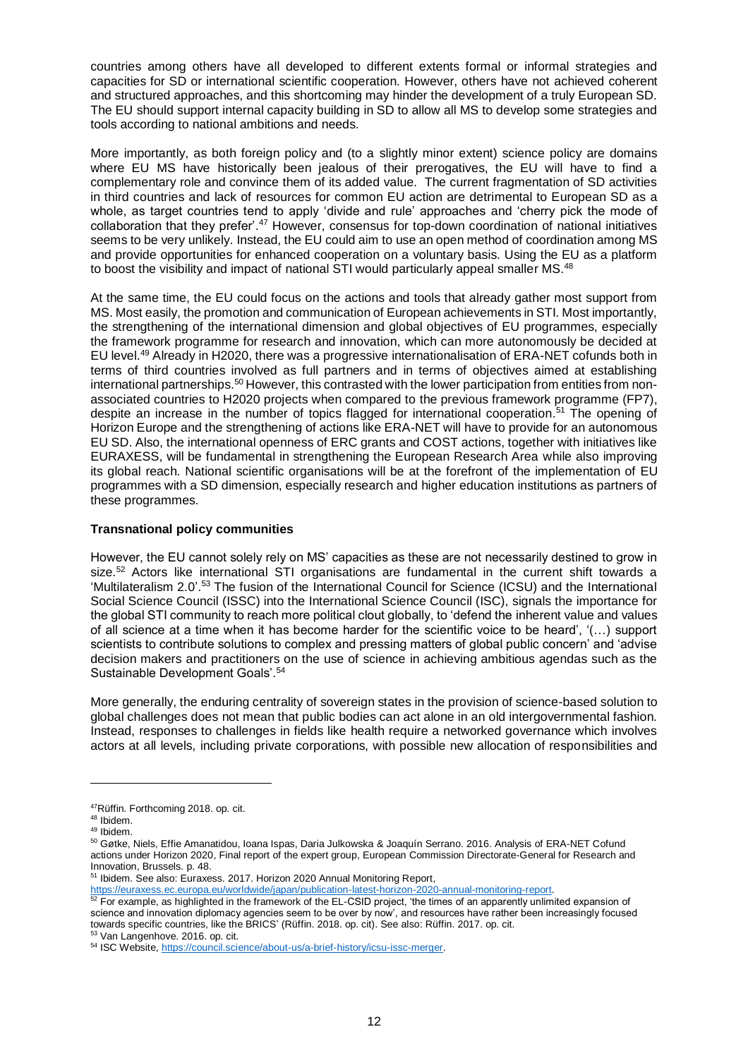countries among others have all developed to different extents formal or informal strategies and capacities for SD or international scientific cooperation. However, others have not achieved coherent and structured approaches, and this shortcoming may hinder the development of a truly European SD. The EU should support internal capacity building in SD to allow all MS to develop some strategies and tools according to national ambitions and needs.

More importantly, as both foreign policy and (to a slightly minor extent) science policy are domains where EU MS have historically been jealous of their prerogatives, the EU will have to find a complementary role and convince them of its added value. The current fragmentation of SD activities in third countries and lack of resources for common EU action are detrimental to European SD as a whole, as target countries tend to apply 'divide and rule' approaches and 'cherry pick the mode of collaboration that they prefer'.<sup>47</sup> However, consensus for top-down coordination of national initiatives seems to be very unlikely. Instead, the EU could aim to use an open method of coordination among MS and provide opportunities for enhanced cooperation on a voluntary basis. Using the EU as a platform to boost the visibility and impact of national STI would particularly appeal smaller MS.<sup>48</sup>

At the same time, the EU could focus on the actions and tools that already gather most support from MS. Most easily, the promotion and communication of European achievements in STI. Most importantly, the strengthening of the international dimension and global objectives of EU programmes, especially the framework programme for research and innovation, which can more autonomously be decided at EU level.<sup>49</sup> Already in H2020, there was a progressive internationalisation of ERA-NET cofunds both in terms of third countries involved as full partners and in terms of objectives aimed at establishing international partnerships.<sup>50</sup> However, this contrasted with the lower participation from entities from nonassociated countries to H2020 projects when compared to the previous framework programme (FP7), despite an increase in the number of topics flagged for international cooperation.<sup>51</sup> The opening of Horizon Europe and the strengthening of actions like ERA-NET will have to provide for an autonomous EU SD. Also, the international openness of ERC grants and COST actions, together with initiatives like EURAXESS, will be fundamental in strengthening the European Research Area while also improving its global reach. National scientific organisations will be at the forefront of the implementation of EU programmes with a SD dimension, especially research and higher education institutions as partners of these programmes.

# **Transnational policy communities**

However, the EU cannot solely rely on MS' capacities as these are not necessarily destined to grow in size.<sup>52</sup> Actors like international STI organisations are fundamental in the current shift towards a 'Multilateralism 2.0'.<sup>53</sup> The fusion of the International Council for Science (ICSU) and the International Social Science Council (ISSC) into the International Science Council (ISC), signals the importance for the global STI community to reach more political clout globally, to 'defend the inherent value and values of all science at a time when it has become harder for the scientific voice to be heard', '(…) support scientists to contribute solutions to complex and pressing matters of global public concern' and 'advise decision makers and practitioners on the use of science in achieving ambitious agendas such as the Sustainable Development Goals'. 54

More generally, the enduring centrality of sovereign states in the provision of science-based solution to global challenges does not mean that public bodies can act alone in an old intergovernmental fashion. Instead, responses to challenges in fields like health require a networked governance which involves actors at all levels, including private corporations, with possible new allocation of responsibilities and

l

<sup>53</sup> Van Langenhove. 2016. op. cit.

<sup>47</sup>Rüffin. Forthcoming 2018. op. cit.

<sup>48</sup> Ibidem. <sup>49</sup> Ibidem.

<sup>50</sup> Gøtke, Niels, Effie Amanatidou, Ioana Ispas, Daria Julkowska & Joaquín Serrano. 2016. Analysis of ERA-NET Cofund actions under Horizon 2020, Final report of the expert group, European Commission Directorate-General for Research and Innovation, Brussels. p. 48.

<sup>51</sup> Ibidem. See also: Euraxess. 2017. Horizon 2020 Annual Monitoring Report,

[https://euraxess.ec.europa.eu/worldwide/japan/publication-latest-horizon-2020-annual-monitoring-report.](https://euraxess.ec.europa.eu/worldwide/japan/publication-latest-horizon-2020-annual-monitoring-report)

 $52$  For example, as highlighted in the framework of the EL-CSID project, 'the times of an apparently unlimited expansion of science and innovation diplomacy agencies seem to be over by now', and resources have rather been increasingly focused towards specific countries, like the BRICS' (Rüffin. 2018. op. cit). See also: Rüffin. 2017. op. cit.

<sup>54</sup> ISC Website[, https://council.science/about-us/a-brief-history/icsu-issc-merger.](https://council.science/about-us/a-brief-history/icsu-issc-merger)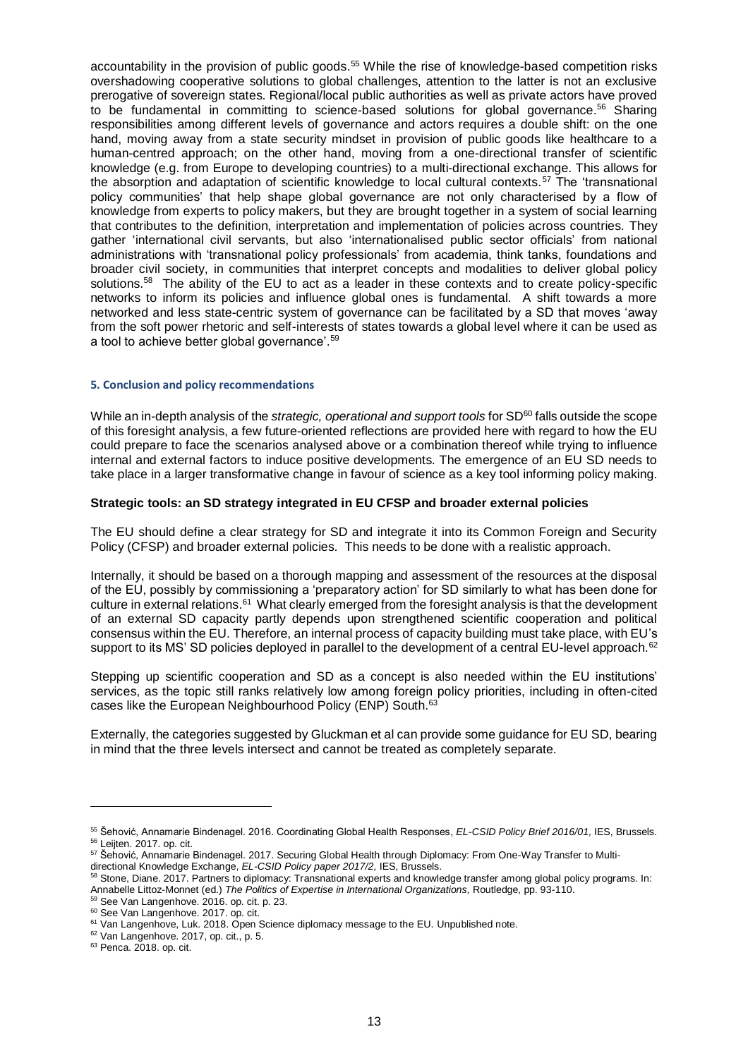accountability in the provision of public goods.<sup>55</sup> While the rise of knowledge-based competition risks overshadowing cooperative solutions to global challenges, attention to the latter is not an exclusive prerogative of sovereign states. Regional/local public authorities as well as private actors have proved to be fundamental in committing to science-based solutions for global governance.<sup>56</sup> Sharing responsibilities among different levels of governance and actors requires a double shift: on the one hand, moving away from a state security mindset in provision of public goods like healthcare to a human-centred approach; on the other hand, moving from a one-directional transfer of scientific knowledge (e.g. from Europe to developing countries) to a multi-directional exchange. This allows for the absorption and adaptation of scientific knowledge to local cultural contexts.<sup>57</sup> The 'transnational policy communities' that help shape global governance are not only characterised by a flow of knowledge from experts to policy makers, but they are brought together in a system of social learning that contributes to the definition, interpretation and implementation of policies across countries. They gather 'international civil servants, but also 'internationalised public sector officials' from national administrations with 'transnational policy professionals' from academia, think tanks, foundations and broader civil society, in communities that interpret concepts and modalities to deliver global policy solutions.<sup>58</sup> The ability of the EU to act as a leader in these contexts and to create policy-specific networks to inform its policies and influence global ones is fundamental. A shift towards a more networked and less state-centric system of governance can be facilitated by a SD that moves 'away from the soft power rhetoric and self-interests of states towards a global level where it can be used as a tool to achieve better global governance'.<sup>59</sup>

### **5. Conclusion and policy recommendations**

While an in-depth analysis of the *strategic, operational and support tools* for SD<sup>60</sup> falls outside the scope of this foresight analysis, a few future-oriented reflections are provided here with regard to how the EU could prepare to face the scenarios analysed above or a combination thereof while trying to influence internal and external factors to induce positive developments. The emergence of an EU SD needs to take place in a larger transformative change in favour of science as a key tool informing policy making.

### **Strategic tools: an SD strategy integrated in EU CFSP and broader external policies**

The EU should define a clear strategy for SD and integrate it into its Common Foreign and Security Policy (CFSP) and broader external policies. This needs to be done with a realistic approach.

Internally, it should be based on a thorough mapping and assessment of the resources at the disposal of the EU, possibly by commissioning a 'preparatory action' for SD similarly to what has been done for culture in external relations.<sup>61</sup> What clearly emerged from the foresight analysis is that the development of an external SD capacity partly depends upon strengthened scientific cooperation and political consensus within the EU. Therefore, an internal process of capacity building must take place, with EU's support to its MS' SD policies deployed in parallel to the development of a central EU-level approach.<sup>62</sup>

Stepping up scientific cooperation and SD as a concept is also needed within the EU institutions' services, as the topic still ranks relatively low among foreign policy priorities, including in often-cited cases like the European Neighbourhood Policy (ENP) South.<sup>63</sup>

Externally, the categories suggested by Gluckman et al can provide some guidance for EU SD, bearing in mind that the three levels intersect and cannot be treated as completely separate.

<sup>55</sup> Šehović, Annamarie Bindenagel. 2016. Coordinating Global Health Responses, *EL-CSID Policy Brief 2016/01,* IES, Brussels. <sup>56</sup> Leijten. 2017. op. cit.

<sup>57</sup> Šehović, Annamarie Bindenagel. 2017. Securing Global Health through Diplomacy: From One-Way Transfer to Multidirectional Knowledge Exchange, *EL-CSID Policy paper 2017/2,* IES, Brussels.

<sup>58</sup> Stone, Diane. 2017. Partners to diplomacy: Transnational experts and knowledge transfer among global policy programs. In: Annabelle Littoz-Monnet (ed.) *The Politics of Expertise in International Organizations,* Routledge, pp. 93-110.

<sup>59</sup> See Van Langenhove. 2016. op. cit. p. 23.

<sup>&</sup>lt;sup>60</sup> See Van Langenhove. 2017. op. cit.

<sup>61</sup> Van Langenhove, Luk. 2018. Open Science diplomacy message to the EU. Unpublished note.

<sup>62</sup> Van Langenhove. 2017, op. cit., p. 5.

<sup>&</sup>lt;sup>63</sup> Penca. 2018. op. cit.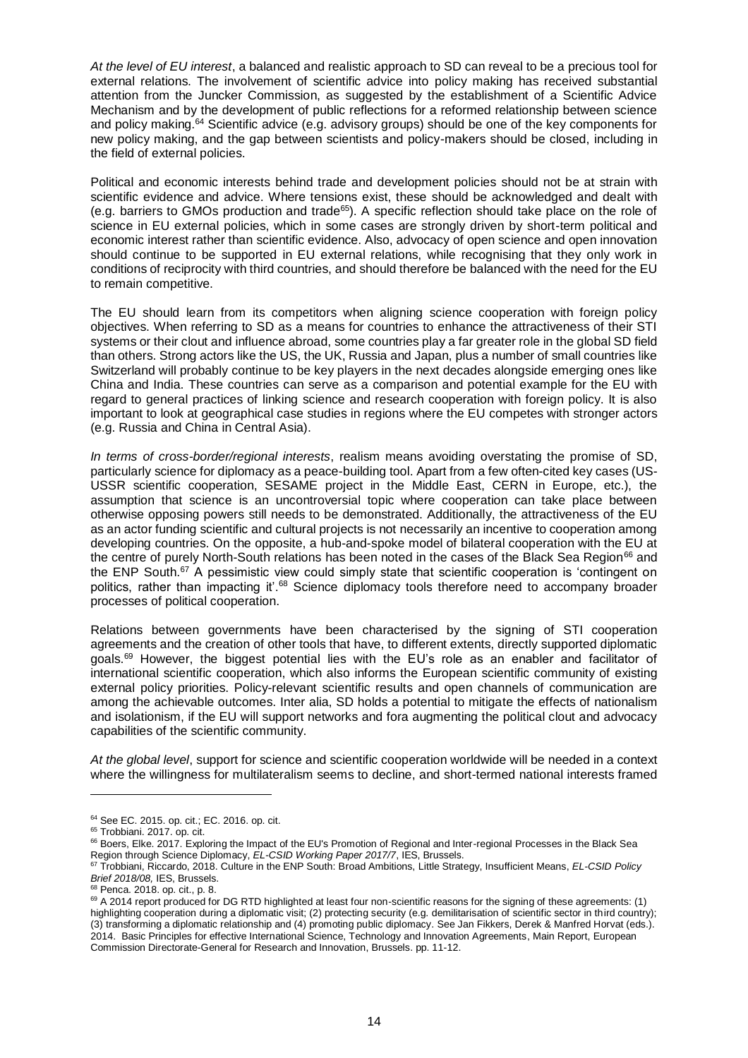*At the level of EU interest*, a balanced and realistic approach to SD can reveal to be a precious tool for external relations. The involvement of scientific advice into policy making has received substantial attention from the Juncker Commission, as suggested by the establishment of a Scientific Advice Mechanism and by the development of public reflections for a reformed relationship between science and policy making.<sup>64</sup> Scientific advice (e.g. advisory groups) should be one of the key components for new policy making, and the gap between scientists and policy-makers should be closed, including in the field of external policies.

Political and economic interests behind trade and development policies should not be at strain with scientific evidence and advice. Where tensions exist, these should be acknowledged and dealt with (e.g. barriers to GMOs production and trade<sup>65</sup>). A specific reflection should take place on the role of science in EU external policies, which in some cases are strongly driven by short-term political and economic interest rather than scientific evidence. Also, advocacy of open science and open innovation should continue to be supported in EU external relations, while recognising that they only work in conditions of reciprocity with third countries, and should therefore be balanced with the need for the EU to remain competitive.

The EU should learn from its competitors when aligning science cooperation with foreign policy objectives. When referring to SD as a means for countries to enhance the attractiveness of their STI systems or their clout and influence abroad, some countries play a far greater role in the global SD field than others. Strong actors like the US, the UK, Russia and Japan, plus a number of small countries like Switzerland will probably continue to be key players in the next decades alongside emerging ones like China and India. These countries can serve as a comparison and potential example for the EU with regard to general practices of linking science and research cooperation with foreign policy. It is also important to look at geographical case studies in regions where the EU competes with stronger actors (e.g. Russia and China in Central Asia).

*In terms of cross-border/regional interests*, realism means avoiding overstating the promise of SD, particularly science for diplomacy as a peace-building tool. Apart from a few often-cited key cases (US-USSR scientific cooperation, SESAME project in the Middle East, CERN in Europe, etc.), the assumption that science is an uncontroversial topic where cooperation can take place between otherwise opposing powers still needs to be demonstrated. Additionally, the attractiveness of the EU as an actor funding scientific and cultural projects is not necessarily an incentive to cooperation among developing countries. On the opposite, a hub-and-spoke model of bilateral cooperation with the EU at the centre of purely North-South relations has been noted in the cases of the Black Sea Region<sup>66</sup> and the ENP South.<sup>67</sup> A pessimistic view could simply state that scientific cooperation is 'contingent on politics, rather than impacting it'.<sup>68</sup> Science diplomacy tools therefore need to accompany broader processes of political cooperation.

Relations between governments have been characterised by the signing of STI cooperation agreements and the creation of other tools that have, to different extents, directly supported diplomatic goals.<sup>69</sup> However, the biggest potential lies with the EU's role as an enabler and facilitator of international scientific cooperation, which also informs the European scientific community of existing external policy priorities. Policy-relevant scientific results and open channels of communication are among the achievable outcomes. Inter alia, SD holds a potential to mitigate the effects of nationalism and isolationism, if the EU will support networks and fora augmenting the political clout and advocacy capabilities of the scientific community.

*At the global level*, support for science and scientific cooperation worldwide will be needed in a context where the willingness for multilateralism seems to decline, and short-termed national interests framed

<sup>64</sup> See EC. 2015. op. cit.; EC. 2016. op. cit.

<sup>&</sup>lt;sup>65</sup> Trobbiani. 2017. op. cit.

<sup>&</sup>lt;sup>66</sup> Boers, Elke. 2017. Exploring the Impact of the EU's Promotion of Regional and Inter-regional Processes in the Black Sea Region through Science Diplomacy, *EL-CSID Working Paper 2017/7*, IES, Brussels.

<sup>67</sup> Trobbiani, Riccardo, 2018. Culture in the ENP South: Broad Ambitions, Little Strategy, Insufficient Means, *EL-CSID Policy Brief 2018/08,* IES, Brussels.

<sup>68</sup> Penca. 2018. op. cit., p. 8.

<sup>69</sup> A 2014 report produced for DG RTD highlighted at least four non-scientific reasons for the signing of these agreements: (1) highlighting cooperation during a diplomatic visit; (2) protecting security (e.g. demilitarisation of scientific sector in third country); (3) transforming a diplomatic relationship and (4) promoting public diplomacy. See Jan Fikkers, Derek & Manfred Horvat (eds.). 2014. Basic Principles for effective International Science, Technology and Innovation Agreements, Main Report, European Commission Directorate-General for Research and Innovation, Brussels. pp. 11-12.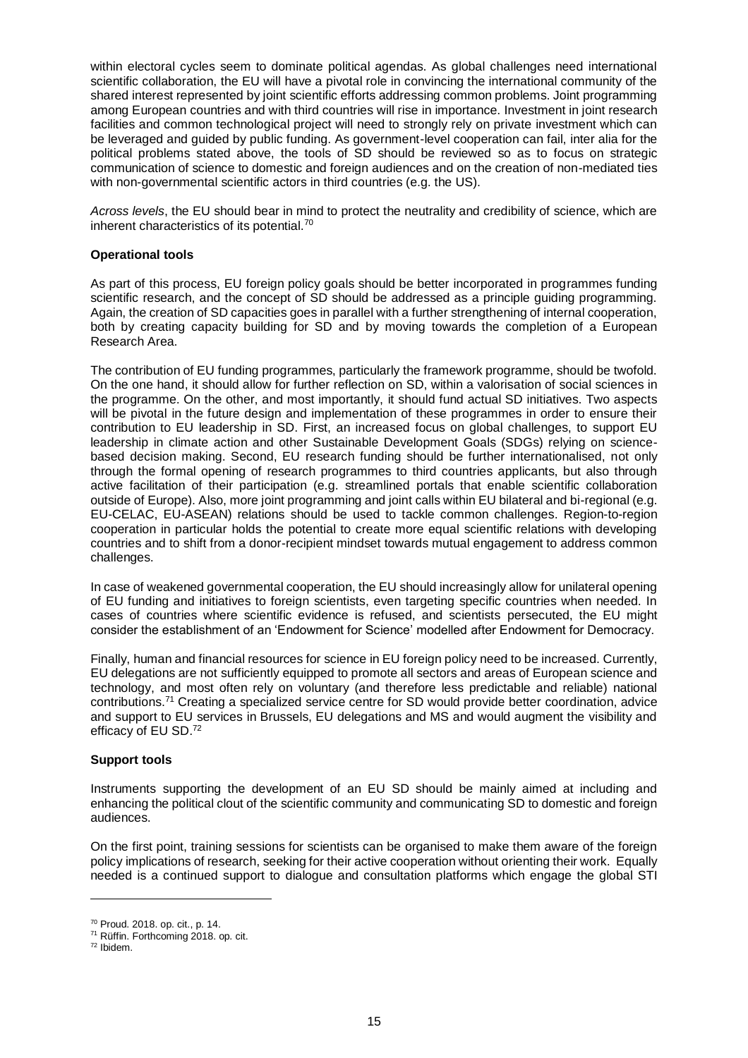within electoral cycles seem to dominate political agendas. As global challenges need international scientific collaboration, the EU will have a pivotal role in convincing the international community of the shared interest represented by joint scientific efforts addressing common problems. Joint programming among European countries and with third countries will rise in importance. Investment in joint research facilities and common technological project will need to strongly rely on private investment which can be leveraged and guided by public funding. As government-level cooperation can fail, inter alia for the political problems stated above, the tools of SD should be reviewed so as to focus on strategic communication of science to domestic and foreign audiences and on the creation of non-mediated ties with non-governmental scientific actors in third countries (e.g. the US).

*Across levels*, the EU should bear in mind to protect the neutrality and credibility of science, which are inherent characteristics of its potential.<sup>70</sup>

# **Operational tools**

As part of this process, EU foreign policy goals should be better incorporated in programmes funding scientific research, and the concept of SD should be addressed as a principle guiding programming. Again, the creation of SD capacities goes in parallel with a further strengthening of internal cooperation, both by creating capacity building for SD and by moving towards the completion of a European Research Area.

The contribution of EU funding programmes, particularly the framework programme, should be twofold. On the one hand, it should allow for further reflection on SD, within a valorisation of social sciences in the programme. On the other, and most importantly, it should fund actual SD initiatives. Two aspects will be pivotal in the future design and implementation of these programmes in order to ensure their contribution to EU leadership in SD. First, an increased focus on global challenges, to support EU leadership in climate action and other Sustainable Development Goals (SDGs) relying on sciencebased decision making. Second, EU research funding should be further internationalised, not only through the formal opening of research programmes to third countries applicants, but also through active facilitation of their participation (e.g. streamlined portals that enable scientific collaboration outside of Europe). Also, more joint programming and joint calls within EU bilateral and bi-regional (e.g. EU-CELAC, EU-ASEAN) relations should be used to tackle common challenges. Region-to-region cooperation in particular holds the potential to create more equal scientific relations with developing countries and to shift from a donor-recipient mindset towards mutual engagement to address common challenges.

In case of weakened governmental cooperation, the EU should increasingly allow for unilateral opening of EU funding and initiatives to foreign scientists, even targeting specific countries when needed. In cases of countries where scientific evidence is refused, and scientists persecuted, the EU might consider the establishment of an 'Endowment for Science' modelled after Endowment for Democracy.

Finally, human and financial resources for science in EU foreign policy need to be increased. Currently, EU delegations are not sufficiently equipped to promote all sectors and areas of European science and technology, and most often rely on voluntary (and therefore less predictable and reliable) national contributions.<sup>71</sup> Creating a specialized service centre for SD would provide better coordination, advice and support to EU services in Brussels, EU delegations and MS and would augment the visibility and efficacy of EU SD.<sup>72</sup>

## **Support tools**

Instruments supporting the development of an EU SD should be mainly aimed at including and enhancing the political clout of the scientific community and communicating SD to domestic and foreign audiences.

On the first point, training sessions for scientists can be organised to make them aware of the foreign policy implications of research, seeking for their active cooperation without orienting their work. Equally needed is a continued support to dialogue and consultation platforms which engage the global STI

<sup>70</sup> Proud. 2018. op. cit., p. 14.

<sup>71</sup> Rüffin. Forthcoming 2018. op. cit.

<sup>72</sup> Ibidem.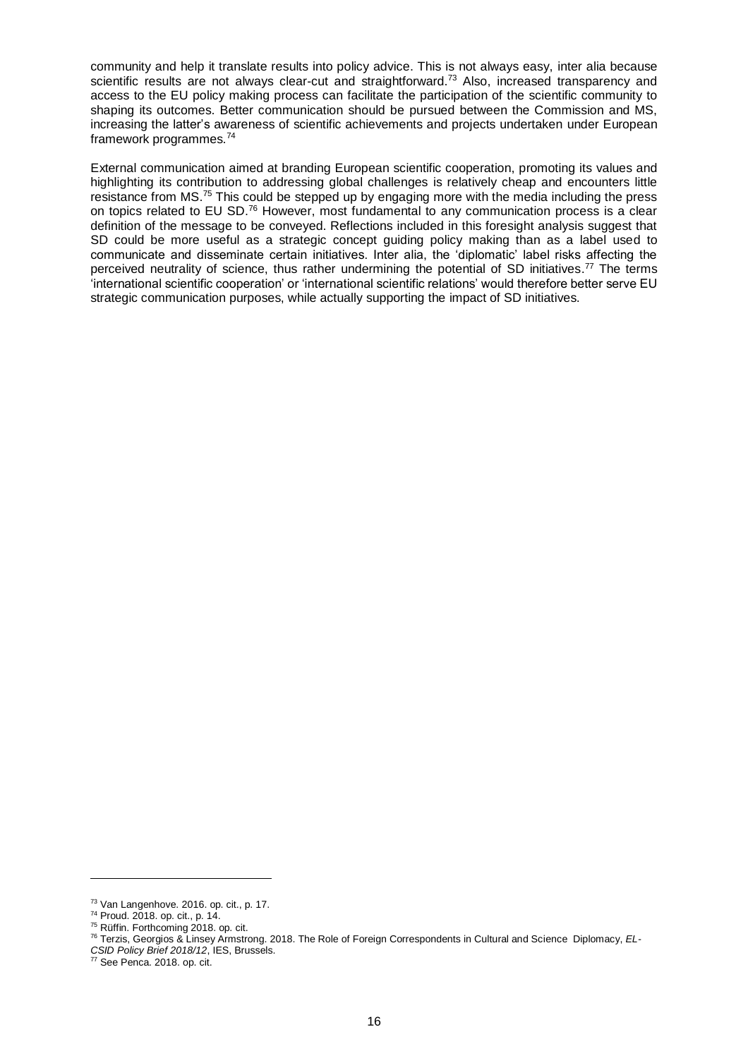community and help it translate results into policy advice. This is not always easy, inter alia because scientific results are not always clear-cut and straightforward.<sup>73</sup> Also, increased transparency and access to the EU policy making process can facilitate the participation of the scientific community to shaping its outcomes. Better communication should be pursued between the Commission and MS, increasing the latter's awareness of scientific achievements and projects undertaken under European framework programmes.<sup>74</sup>

External communication aimed at branding European scientific cooperation, promoting its values and highlighting its contribution to addressing global challenges is relatively cheap and encounters little resistance from MS.<sup>75</sup> This could be stepped up by engaging more with the media including the press on topics related to EU SD.<sup>76</sup> However, most fundamental to any communication process is a clear definition of the message to be conveyed. Reflections included in this foresight analysis suggest that SD could be more useful as a strategic concept guiding policy making than as a label used to communicate and disseminate certain initiatives. Inter alia, the 'diplomatic' label risks affecting the perceived neutrality of science, thus rather undermining the potential of SD initiatives.<sup>77</sup> The terms 'international scientific cooperation' or 'international scientific relations' would therefore better serve EU strategic communication purposes, while actually supporting the impact of SD initiatives.

<sup>73</sup> Van Langenhove. 2016. op. cit., p. 17.

<sup>74</sup> Proud. 2018. op. cit., p. 14.

<sup>75</sup> Rüffin. Forthcoming 2018. op. cit.

<sup>76</sup> Terzis, Georgios & Linsey Armstrong. 2018. The Role of Foreign Correspondents in Cultural and Science Diplomacy, *EL-*

*CSID Policy Brief 2018/12*, IES, Brussels.

<sup>77</sup> See Penca. 2018. op. cit.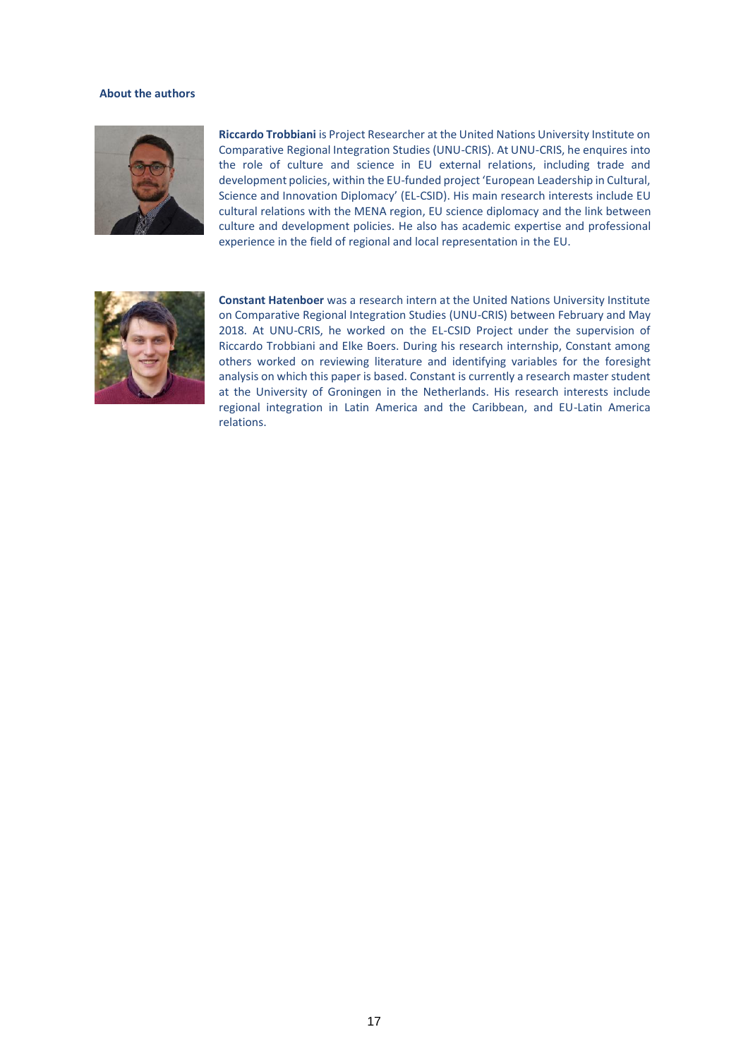#### **About the authors**



**Riccardo Trobbiani** is Project Researcher at the United Nations University Institute on Comparative Regional Integration Studies (UNU-CRIS). At UNU-CRIS, he enquires into the role of culture and science in EU external relations, including trade and development policies, within the EU-funded project 'European Leadership in Cultural, Science and Innovation Diplomacy' (EL-CSID). His main research interests include EU cultural relations with the MENA region, EU science diplomacy and the link between culture and development policies. He also has academic expertise and professional experience in the field of regional and local representation in the EU.



**Constant Hatenboer** was a research intern at the United Nations University Institute on Comparative Regional Integration Studies (UNU-CRIS) between February and May 2018. At UNU-CRIS, he worked on the EL-CSID Project under the supervision of Riccardo Trobbiani and Elke Boers. During his research internship, Constant among others worked on reviewing literature and identifying variables for the foresight analysis on which this paper is based. Constant is currently a research master student at the University of Groningen in the Netherlands. His research interests include regional integration in Latin America and the Caribbean, and EU-Latin America relations.